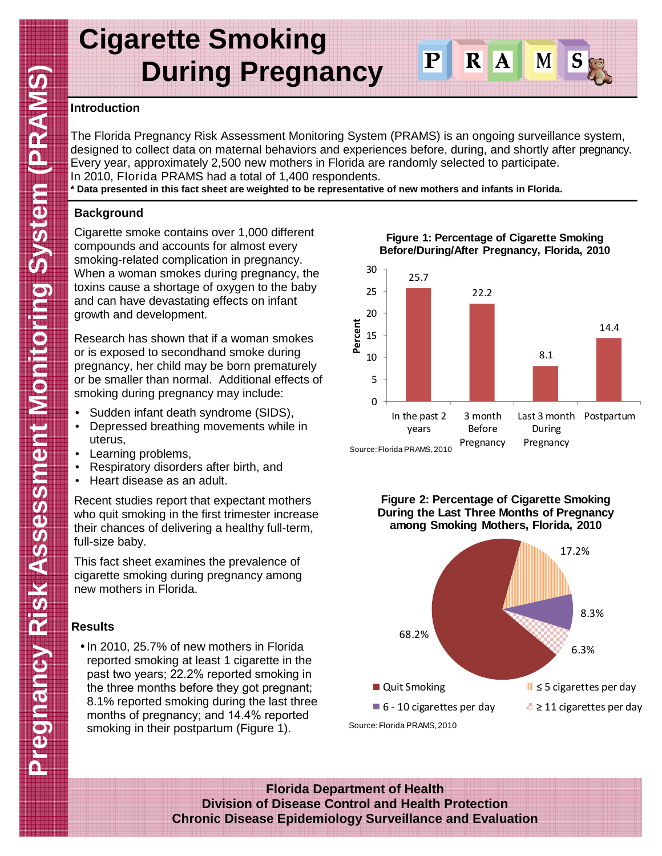# **Cigarette Smoking During Pregnancy**

#### **Introduction**

The Florida Pregnancy Risk Assessment Monitoring System (PRAMS) is an ongoing surveillance system, designed to collect data on maternal behaviors and experiences before, during, and shortly after pregnancy. Every year, approximately 2,500 new mothers in Florida are randomly selected to participate. In 2010, Florida PRAMS had a total of 1,400 respondents.

 $|{\bf P}|$ 

 $\mathbf R$ 

 $\overline{\mathbf{A}}$ 

M

**\* Data presented in this fact sheet are weighted to be representative of new mothers and infants in Florida.** 

#### **Background**

Cigarette smoke contains over 1,000 different compounds and accounts for almost every smoking-related complication in pregnancy. When a woman smokes during pregnancy, the toxins cause a shortage of oxygen to the baby and can have devastating effects on infant growth and development.

Research has shown that if a woman smokes or is exposed to secondhand smoke during pregnancy, her child may be born prematurely or be smaller than normal. Additional effects of smoking during pregnancy may include:

- Sudden infant death syndrome (SIDS),
- Depressed breathing movements while in uterus,
- Learning problems,
- Respiratory disorders after birth, and
- Heart disease as an adult.

Recent studies report that expectant mothers who quit smoking in the first trimester increase their chances of delivering a healthy full-term, full-size baby.

This fact sheet examines the prevalence of cigarette smoking during pregnancy among new mothers in Florida.

### **Results**

• In 2010, 25.7% of new mothers in Florida reported smoking at least 1 cigarette in the past two years; 22.2% reported smoking in the three months before they got pregnant; 8.1% reported smoking during the last three months of pregnancy; and 14.4% reported smoking in their postpartum (Figure 1).

**Figure 1: Percentage of Cigarette Smoking Before/During/After Pregnancy, Florida, 2010**







**Florida Department of Health Division of Disease Control and Health Protection Chronic Disease Epidemiology Surveillance and Evaluation**